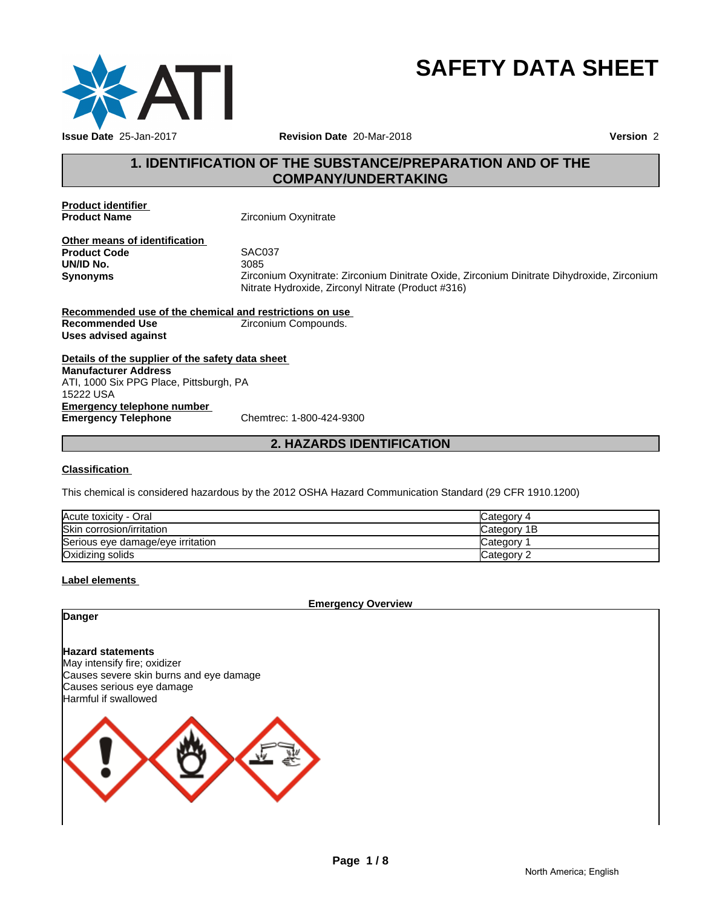

# **SAFETY DATA SHEET**

# **1. IDENTIFICATION OF THE SUBSTANCE/PREPARATION AND OF THE COMPANY/UNDERTAKING**

**Product identifier** 

**Zirconium Oxynitrate** 

**Other means of identification**<br>**Product Code** SAC037 **Product Code** SACOS<br>**UN/ID No.** 3085 **UN/ID No.** 

**Synonyms** Zirconium Oxynitrate: Zirconium Dinitrate Oxide, Zirconium Dinitrate Dihydroxide, Zirconium Nitrate Hydroxide, Zirconyl Nitrate (Product #316)

**Recommended use of the chemical and restrictions on use Recommended Use Example 2** Zirconium Compounds. **Uses advised against**

**Details of the supplier of the safety data sheet Emergency telephone number<br>
Emergency Telephone**<br>
Chemtrec: 1-800-424-9300 **Emergency Telephone Manufacturer Address** ATI, 1000 Six PPG Place, Pittsburgh, PA 15222 USA

# **2. HAZARDS IDENTIFICATION**

#### **Classification**

This chemical is considered hazardous by the 2012 OSHA Hazard Communication Standard (29 CFR 1910.1200)

| Acute toxicity - Oral             | Category 4  |
|-----------------------------------|-------------|
| Skin corrosion/irritation         | Category 1B |
| Serious eye damage/eye irritation | Category    |
| Oxidizing solids                  | Category 2  |

#### **Label elements**

**Emergency Overview**

#### **Danger**

**Hazard statements**

May intensify fire; oxidizer Causes severe skin burns and eye damage Causes serious eye damage Harmful if swallowed

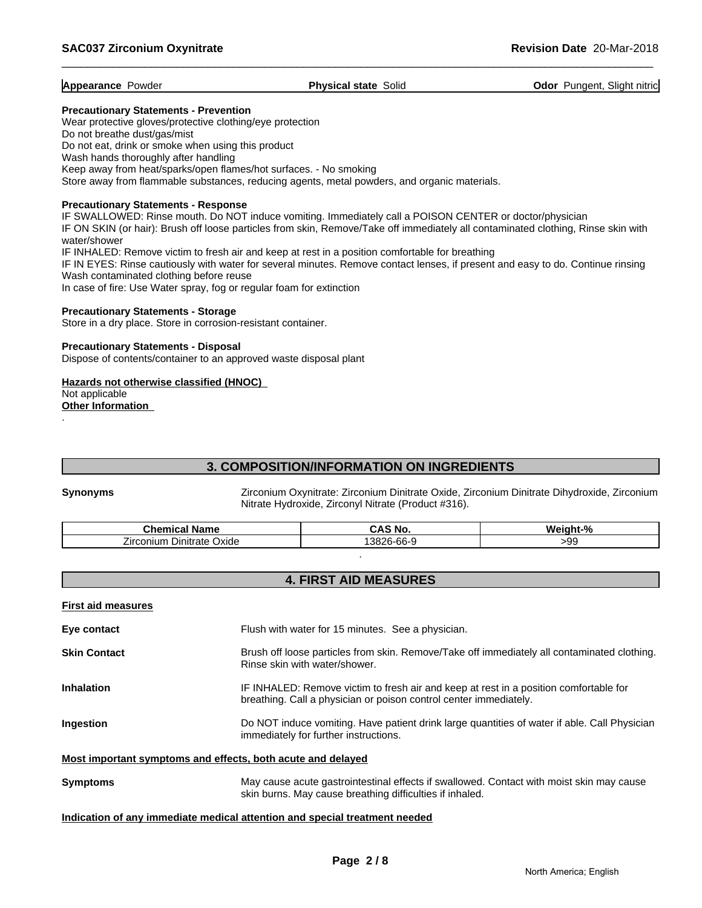**Appearance Powder Physical state Solid <b>Physical state Solid Odor Pungent, Slight nitric** 

#### **Precautionary Statements - Prevention**

Wear protective gloves/protective clothing/eye protection Do not breathe dust/gas/mist Do not eat, drink or smoke when using this product Wash hands thoroughly after handling Keep away from heat/sparks/open flames/hot surfaces. - No smoking Store away from flammable substances, reducing agents, metal powders, and organic materials.

#### **Precautionary Statements - Response**

IF SWALLOWED: Rinse mouth. Do NOT induce vomiting. Immediately call a POISON CENTER or doctor/physician

IF ON SKIN (or hair): Brush off loose particles from skin, Remove/Take off immediately all contaminated clothing, Rinse skin with water/shower

IF INHALED: Remove victim to fresh air and keep at rest in a position comfortable for breathing

IF IN EYES: Rinse cautiously with water for several minutes. Remove contact lenses, if present and easy to do. Continue rinsing Wash contaminated clothing before reuse

In case of fire: Use Water spray, fog or regular foam for extinction

#### **Precautionary Statements - Storage**

Store in a dry place. Store in corrosion-resistant container.

#### **Precautionary Statements - Disposal**

Dispose of contents/container to an approved waste disposal plant

#### **Hazards not otherwise classified (HNOC)**  Not applicable **Other Information**

# **3. COMPOSITION/INFORMATION ON INGREDIENTS**

.

**Synonyms** Zirconium Oxynitrate: Zirconium Dinitrate Oxide, Zirconium Dinitrate Dihydroxide, Zirconium Nitrate Hydroxide, Zirconyl Nitrate (Product #316).

| Chemical<br>' Name                          | No<br>.                                       | $\mathbf{a}$<br><b>Wei</b><br>. <del>.</del><br>זחנ |
|---------------------------------------------|-----------------------------------------------|-----------------------------------------------------|
| <i>L</i> irconium<br>. Dinitrate<br>√ Oxide | $\sim$<br>0000<br>эσ<br><u>~ი-ხხ-ა</u><br>30Z | ~<br>suu<br>ن ن∙                                    |

# **4. FIRST AID MEASURES**

.

| <b>First aid measures</b>                                   |                                                                                                                                                            |
|-------------------------------------------------------------|------------------------------------------------------------------------------------------------------------------------------------------------------------|
| Eye contact                                                 | Flush with water for 15 minutes. See a physician.                                                                                                          |
| <b>Skin Contact</b>                                         | Brush off loose particles from skin. Remove/Take off immediately all contaminated clothing.<br>Rinse skin with water/shower.                               |
| <b>Inhalation</b>                                           | IF INHALED: Remove victim to fresh air and keep at rest in a position comfortable for<br>breathing. Call a physician or poison control center immediately. |
| Ingestion                                                   | Do NOT induce vomiting. Have patient drink large quantities of water if able. Call Physician<br>immediately for further instructions.                      |
| Most important symptoms and effects, both acute and delayed |                                                                                                                                                            |
| <b>Symptoms</b>                                             | May cause acute gastrointestinal effects if swallowed. Contact with moist skin may cause<br>skin burns. May cause breathing difficulties if inhaled.       |

#### **Indication of any immediate medical attention and special treatment needed**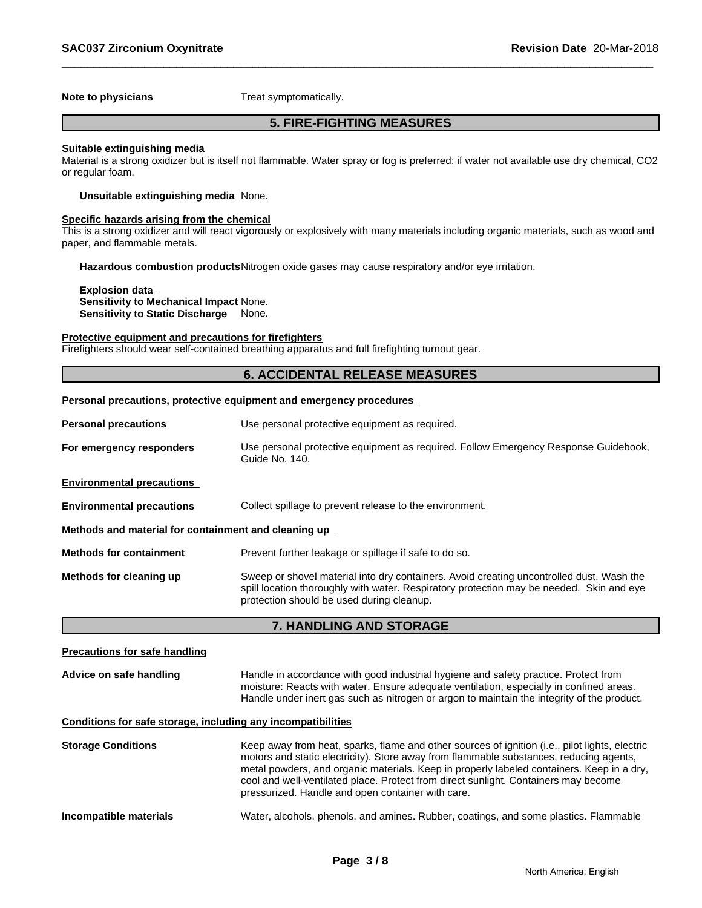#### **Note to physicians** Treat symptomatically.

# **5. FIRE-FIGHTING MEASURES**

#### **Suitable extinguishing media**

Material is a strong oxidizer but is itself not flammable. Water spray or fog is preferred; if water not available use dry chemical, CO2 or regular foam.

**Unsuitable extinguishing media** None.

#### **Specific hazards arising from the chemical**

This is a strong oxidizer and will react vigorously or explosively with many materials including organic materials, such as wood and paper, and flammable metals.

**Hazardous combustion products**Nitrogen oxide gases may cause respiratory and/or eye irritation.

**Explosion data Sensitivity to Mechanical Impact** None. **Sensitivity to Static Discharge** None.

#### **Protective equipment and precautions for firefighters**

Firefighters should wear self-contained breathing apparatus and full firefighting turnout gear.

#### **6. ACCIDENTAL RELEASE MEASURES**

#### **Personal precautions, protective equipment and emergency procedures**

| Use personal protective equipment as required.                                                                                                                                                                                    |
|-----------------------------------------------------------------------------------------------------------------------------------------------------------------------------------------------------------------------------------|
| Use personal protective equipment as required. Follow Emergency Response Guidebook,<br>Guide No. 140.                                                                                                                             |
|                                                                                                                                                                                                                                   |
| Collect spillage to prevent release to the environment.                                                                                                                                                                           |
| Methods and material for containment and cleaning up                                                                                                                                                                              |
| Prevent further leakage or spillage if safe to do so.                                                                                                                                                                             |
| Sweep or shovel material into dry containers. Avoid creating uncontrolled dust. Wash the<br>spill location thoroughly with water. Respiratory protection may be needed. Skin and eye<br>protection should be used during cleanup. |
|                                                                                                                                                                                                                                   |

### **7. HANDLING AND STORAGE**

#### **Precautions for safe handling**

**Advice on safe handling** Handle in accordance with good industrial hygiene and safety practice. Protect from moisture: Reacts with water. Ensure adequate ventilation, especially in confined areas. Handle under inert gas such as nitrogen or argon to maintain the integrity of the product.

#### **Conditions for safe storage, including any incompatibilities**

| <b>Storage Conditions</b> | Keep away from heat, sparks, flame and other sources of ignition (i.e., pilot lights, electric<br>motors and static electricity). Store away from flammable substances, reducing agents,<br>metal powders, and organic materials. Keep in properly labeled containers. Keep in a dry,<br>cool and well-ventilated place. Protect from direct sunlight. Containers may become<br>pressurized. Handle and open container with care. |
|---------------------------|-----------------------------------------------------------------------------------------------------------------------------------------------------------------------------------------------------------------------------------------------------------------------------------------------------------------------------------------------------------------------------------------------------------------------------------|
| Incompatible materials    | Water, alcohols, phenols, and amines. Rubber, coatings, and some plastics. Flammable                                                                                                                                                                                                                                                                                                                                              |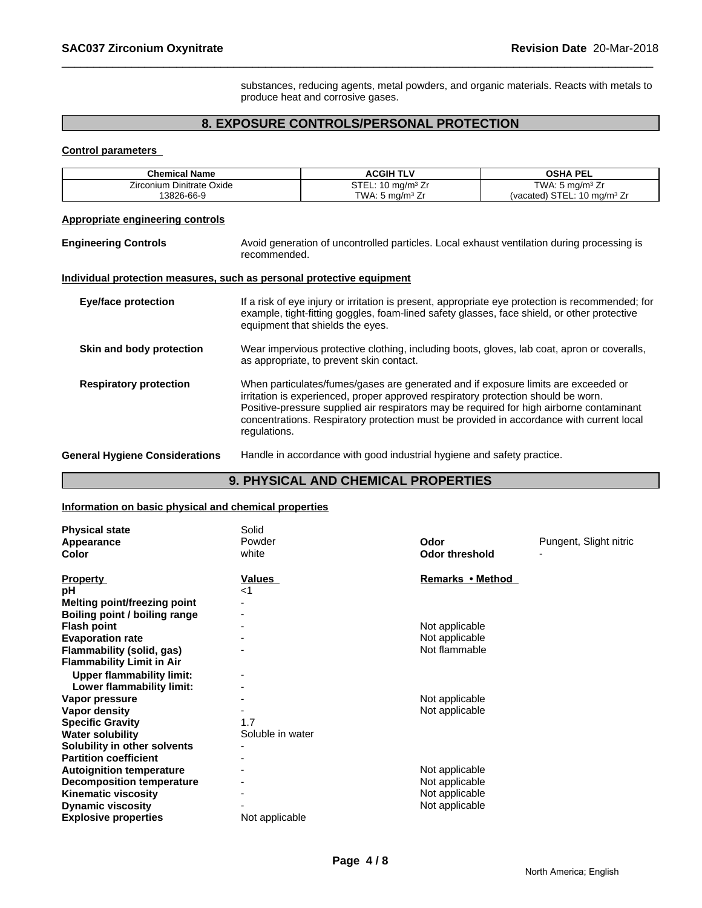substances, reducing agents, metal powders, and organic materials. Reacts with metals to produce heat and corrosive gases.

# **8. EXPOSURE CONTROLS/PERSONAL PROTECTION**

#### **Control parameters**

| STEL: 10 mg/m <sup>3</sup> Zr<br>$\overline{\text{TWA}}$ : 5 mg/m <sup>3</sup> Zr<br>Zirconium Dinitrate Oxide<br>(vacated) STEL: 10 mg/m <sup>3</sup> Zr<br>13826-66-9<br>TWA: $5 \text{ mg/m}^3$ Zr                                                                                                                                                                                                            |  |
|------------------------------------------------------------------------------------------------------------------------------------------------------------------------------------------------------------------------------------------------------------------------------------------------------------------------------------------------------------------------------------------------------------------|--|
|                                                                                                                                                                                                                                                                                                                                                                                                                  |  |
|                                                                                                                                                                                                                                                                                                                                                                                                                  |  |
| <b>Appropriate engineering controls</b>                                                                                                                                                                                                                                                                                                                                                                          |  |
| Avoid generation of uncontrolled particles. Local exhaust ventilation during processing is<br><b>Engineering Controls</b><br>recommended.                                                                                                                                                                                                                                                                        |  |
| Individual protection measures, such as personal protective equipment                                                                                                                                                                                                                                                                                                                                            |  |
| If a risk of eye injury or irritation is present, appropriate eye protection is recommended; for<br>Eye/face protection<br>example, tight-fitting goggles, foam-lined safety glasses, face shield, or other protective<br>equipment that shields the eyes.                                                                                                                                                       |  |
| Wear impervious protective clothing, including boots, gloves, lab coat, apron or coveralls,<br>Skin and body protection<br>as appropriate, to prevent skin contact.                                                                                                                                                                                                                                              |  |
| <b>Respiratory protection</b><br>When particulates/fumes/gases are generated and if exposure limits are exceeded or<br>irritation is experienced, proper approved respiratory protection should be worn.<br>Positive-pressure supplied air respirators may be required for high airborne contaminant<br>concentrations. Respiratory protection must be provided in accordance with current local<br>regulations. |  |
| Handle in accordance with good industrial hygiene and safety practice.<br><b>General Hygiene Considerations</b>                                                                                                                                                                                                                                                                                                  |  |

# **9. PHYSICAL AND CHEMICAL PROPERTIES**

#### **Information on basic physical and chemical properties**

| <b>Physical state</b><br>Appearance<br><b>Color</b>                                                                                                                                                                          | Solid<br>Powder<br>white | Odor<br><b>Odor threshold</b>                                         | Pungent, Slight nitric |
|------------------------------------------------------------------------------------------------------------------------------------------------------------------------------------------------------------------------------|--------------------------|-----------------------------------------------------------------------|------------------------|
| <b>Property</b><br>рH<br>Melting point/freezing point<br>Boiling point / boiling range<br><b>Flash point</b><br><b>Evaporation rate</b><br>Flammability (solid, gas)                                                         | <b>Values</b><br>$<$ 1   | Remarks • Method<br>Not applicable<br>Not applicable<br>Not flammable |                        |
| <b>Flammability Limit in Air</b><br><b>Upper flammability limit:</b><br>Lower flammability limit:<br>Vapor pressure<br>Vapor density<br><b>Specific Gravity</b><br><b>Water solubility</b>                                   | 1.7<br>Soluble in water  | Not applicable<br>Not applicable                                      |                        |
| Solubility in other solvents<br><b>Partition coefficient</b><br><b>Autoignition temperature</b><br><b>Decomposition temperature</b><br><b>Kinematic viscosity</b><br><b>Dynamic viscosity</b><br><b>Explosive properties</b> | Not applicable           | Not applicable<br>Not applicable<br>Not applicable<br>Not applicable  |                        |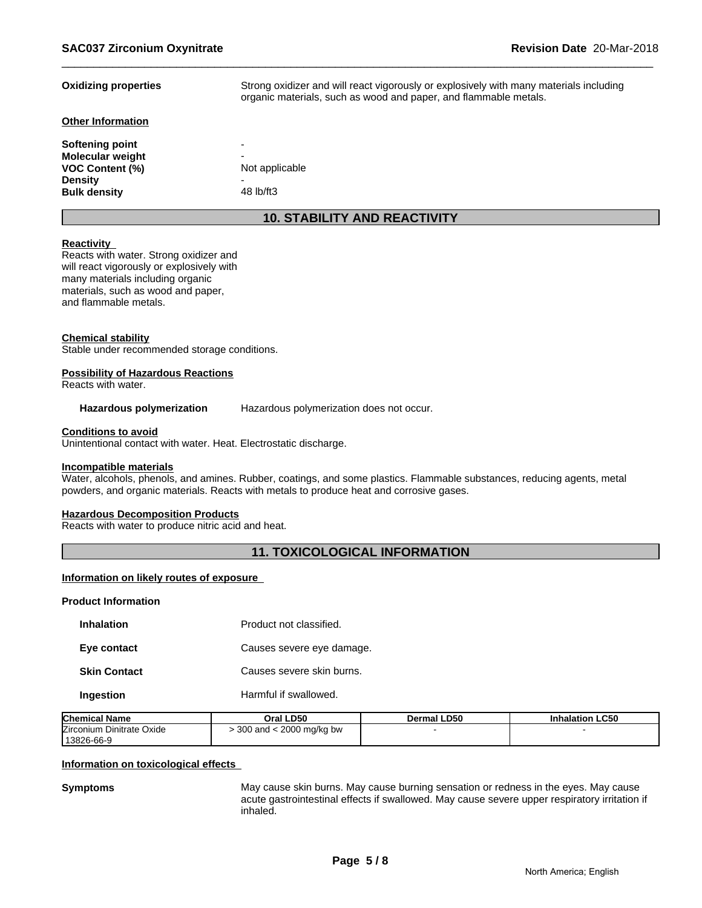| <b>Oxidizing properties</b>                       | Strong oxidizer and will react vigorously or explosively with many materials including<br>organic materials, such as wood and paper, and flammable metals. |
|---------------------------------------------------|------------------------------------------------------------------------------------------------------------------------------------------------------------|
| <b>Other Information</b>                          |                                                                                                                                                            |
| Softening point                                   | -                                                                                                                                                          |
| <b>Molecular weight</b><br><b>VOC Content (%)</b> | -<br>Not applicable                                                                                                                                        |
| <b>Density</b><br><b>Bulk density</b>             | -<br>48 lb/ft3                                                                                                                                             |
|                                                   | <b>10. STABILITY AND REACTIVITY</b>                                                                                                                        |

#### **Reactivity**

Reacts with water. Strong oxidizer and will react vigorously or explosively with many materials including organic materials, such as wood and paper, and flammable metals.

#### **Chemical stability**

Stable under recommended storage conditions.

#### **Possibility of Hazardous Reactions**

Reacts with water.

#### Hazardous polymerization Hazardous polymerization does not occur.

#### **Conditions to avoid**

Unintentional contact with water. Heat. Electrostatic discharge.

#### **Incompatible materials**

Water, alcohols, phenols, and amines. Rubber, coatings, and some plastics. Flammable substances, reducing agents, metal powders, and organic materials. Reacts with metals to produce heat and corrosive gases.

#### **Hazardous Decomposition Products**

Reacts with water to produce nitric acid and heat.

### **11. TOXICOLOGICAL INFORMATION**

#### **Information on likely routes of exposure**

#### **Product Information**

| <b>Inhalation</b>   | Product not classified.   |
|---------------------|---------------------------|
| Eye contact         | Causes severe eye damage. |
| <b>Skin Contact</b> | Causes severe skin burns. |
| Ingestion           | Harmful if swallowed.     |

| <b>Chemical Name</b>      | Oral LD50                  | <b>Dermal LD50</b> | <b>Inhalation LC50</b> |
|---------------------------|----------------------------|--------------------|------------------------|
| Zirconium Dinitrate Oxide | : 2000 mg/kg bw<br>300 and |                    |                        |
| 13826-66-9                |                            |                    |                        |

#### **Information on toxicological effects**

**Symptoms** May cause skin burns. May cause burning sensation or redness in the eyes. May cause acute gastrointestinal effects if swallowed. May cause severe upper respiratory irritation if inhaled.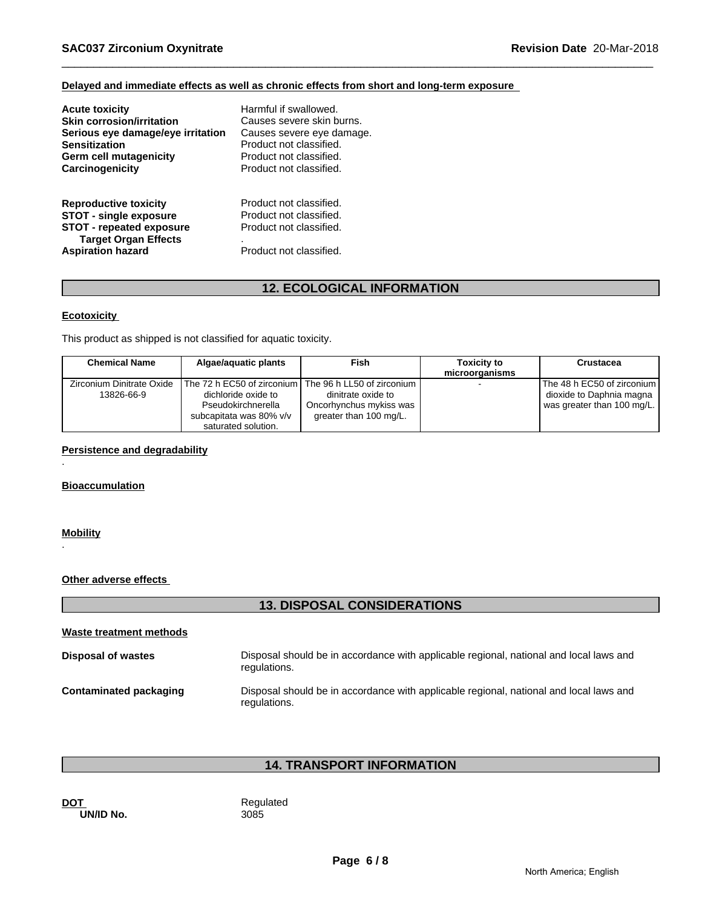### **Delayed and immediate effects as well as chronic effects from short and long-term exposure**

| <b>Acute toxicity</b>                                                                                                                                       | Harmful if swallowed.                                                                                    |
|-------------------------------------------------------------------------------------------------------------------------------------------------------------|----------------------------------------------------------------------------------------------------------|
| <b>Skin corrosion/irritation</b>                                                                                                                            | Causes severe skin burns.                                                                                |
| Serious eye damage/eye irritation                                                                                                                           | Causes severe eye damage.                                                                                |
| <b>Sensitization</b>                                                                                                                                        | Product not classified.                                                                                  |
| <b>Germ cell mutagenicity</b>                                                                                                                               | Product not classified.                                                                                  |
| Carcinogenicity                                                                                                                                             | Product not classified.                                                                                  |
| <b>Reproductive toxicity</b><br><b>STOT - single exposure</b><br><b>STOT - repeated exposure</b><br><b>Target Organ Effects</b><br><b>Aspiration hazard</b> | Product not classified.<br>Product not classified.<br>Product not classified.<br>Product not classified. |

# **12. ECOLOGICAL INFORMATION**

#### **Ecotoxicity**

This product as shipped is not classified for aquatic toxicity.

| <b>Chemical Name</b>                    | Algae/aguatic plants                                                                                                        | Fish                                                                                                  | <b>Toxicity to</b><br>microorganisms | Crustacea                                                                              |
|-----------------------------------------|-----------------------------------------------------------------------------------------------------------------------------|-------------------------------------------------------------------------------------------------------|--------------------------------------|----------------------------------------------------------------------------------------|
| Zirconium Dinitrate Oxide<br>13826-66-9 | The 72 h EC50 of zirconium I<br>dichloride oxide to<br>Pseudokirchnerella<br>subcapitata was 80% v/v<br>saturated solution. | The 96 h LL50 of zirconium<br>dinitrate oxide to<br>Oncorhynchus mykiss was<br>greater than 100 mg/L. |                                      | The 48 h EC50 of zirconium  <br>dioxide to Daphnia magna<br>was greater than 100 mg/L. |

**Persistence and degradability**

**Bioaccumulation**

#### **Mobility**

.

.

#### **Other adverse effects**

# **13. DISPOSAL CONSIDERATIONS**

| Waste treatment methods       |                                                                                                        |
|-------------------------------|--------------------------------------------------------------------------------------------------------|
| <b>Disposal of wastes</b>     | Disposal should be in accordance with applicable regional, national and local laws and<br>regulations. |
| <b>Contaminated packaging</b> | Disposal should be in accordance with applicable regional, national and local laws and<br>regulations. |

# **14. TRANSPORT INFORMATION**

**DOT**<br> **DOT**<br> **DIVID No.**<br> **Regulated**<br>
3085 **UN/ID No.**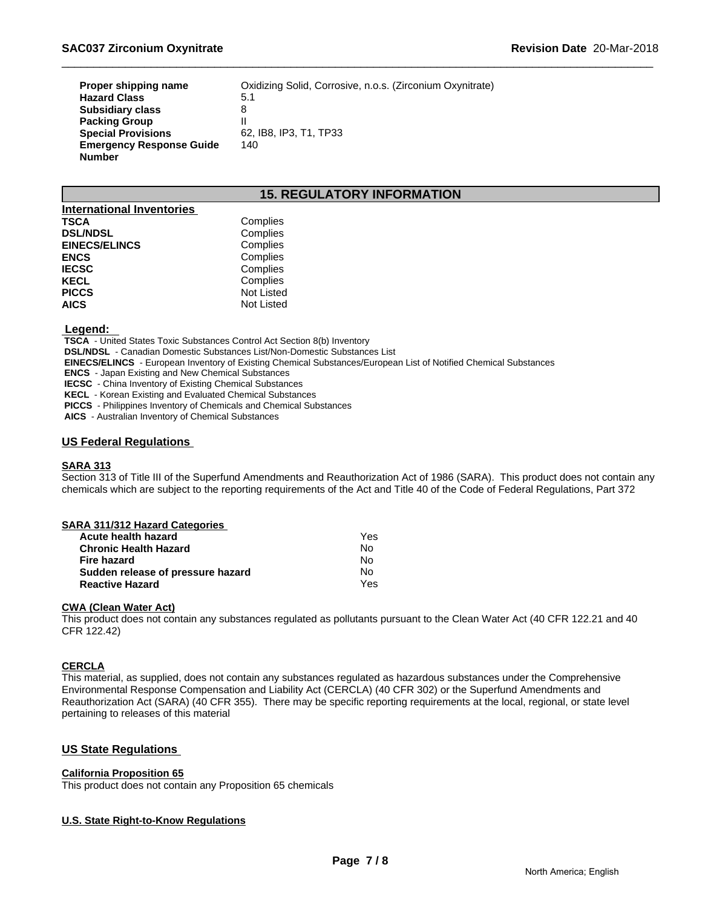| Proper shipping name            | Oxidizing Solid, Corrosive, n.o.s. (Zirconium Oxynitrate) |
|---------------------------------|-----------------------------------------------------------|
| <b>Hazard Class</b>             | 5.1                                                       |
| <b>Subsidiary class</b>         | 8                                                         |
| <b>Packing Group</b>            |                                                           |
| <b>Special Provisions</b>       | 62. IB8. IP3. T1. TP33                                    |
| <b>Emergency Response Guide</b> | 140                                                       |
| <b>Number</b>                   |                                                           |

# **15. REGULATORY INFORMATION**

| <b>International Inventories</b> |                   |  |
|----------------------------------|-------------------|--|
| <b>TSCA</b>                      | Complies          |  |
| <b>DSL/NDSL</b>                  | Complies          |  |
| <b>EINECS/ELINCS</b>             | Complies          |  |
| <b>ENCS</b>                      | Complies          |  |
| <b>IECSC</b>                     | Complies          |  |
| <b>KECL</b>                      | Complies          |  |
| <b>PICCS</b>                     | <b>Not Listed</b> |  |
| <b>AICS</b>                      | Not Listed        |  |

#### **Legend:**

 **TSCA** - United States Toxic Substances Control Act Section 8(b) Inventory

 **DSL/NDSL** - Canadian Domestic Substances List/Non-Domestic Substances List

 **EINECS/ELINCS** - European Inventory of Existing Chemical Substances/European List of Notified Chemical Substances

 **ENCS** - Japan Existing and New Chemical Substances

 **IECSC** - China Inventory of Existing Chemical Substances

 **KECL** - Korean Existing and Evaluated Chemical Substances

 **PICCS** - Philippines Inventory of Chemicals and Chemical Substances

 **AICS** - Australian Inventory of Chemical Substances

#### **US Federal Regulations**

#### **SARA 313**

Section 313 of Title III of the Superfund Amendments and Reauthorization Act of 1986 (SARA). This product does not contain any chemicals which are subject to the reporting requirements of the Act and Title 40 of the Code of Federal Regulations, Part 372

| SARA 311/312 Hazard Categories    |     |  |
|-----------------------------------|-----|--|
| Acute health hazard               | Yes |  |
| <b>Chronic Health Hazard</b>      | N٥  |  |
| Fire hazard                       | Nο  |  |
| Sudden release of pressure hazard | Nο  |  |
| <b>Reactive Hazard</b>            | Yes |  |

#### **CWA (Clean Water Act)**

This product does not contain any substances regulated as pollutants pursuant to the Clean Water Act (40 CFR 122.21 and 40 CFR 122.42)

#### **CERCLA**

This material, as supplied, does not contain any substances regulated as hazardous substances under the Comprehensive Environmental Response Compensation and Liability Act (CERCLA) (40 CFR 302) or the Superfund Amendments and Reauthorization Act (SARA) (40 CFR 355). There may be specific reporting requirements at the local, regional, or state level pertaining to releases of this material

#### **US State Regulations**

#### **California Proposition 65**

This product does not contain any Proposition 65 chemicals

#### **U.S. State Right-to-Know Regulations**